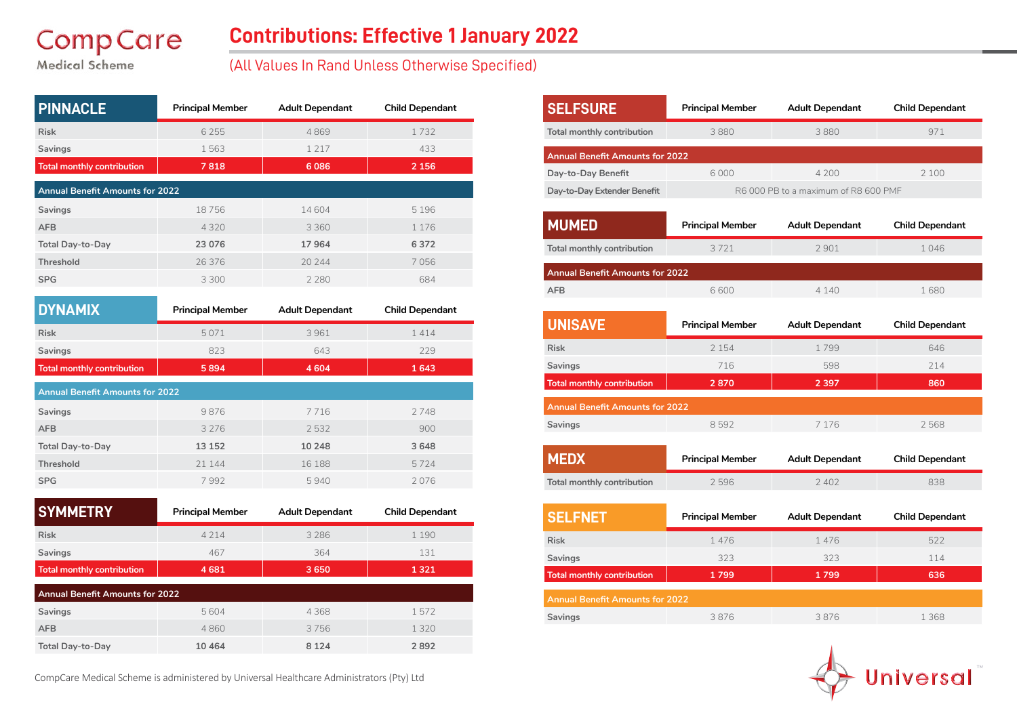# **CompCare**

### **Contributions: Effective 1 January 2022**

Medical Scheme

#### (All Values In Rand Unless Otherwise Specified)

| <b>PINNACLE</b>                        | <b>Principal Member</b> | <b>Adult Dependant</b> | <b>Child Dependant</b> |  |  |
|----------------------------------------|-------------------------|------------------------|------------------------|--|--|
| <b>Risk</b>                            | 6 2 5 5                 | 4869                   | 1732                   |  |  |
| Savings                                | 1563                    | 1 2 1 7                | 433                    |  |  |
| <b>Total monthly contribution</b>      | 7818                    | 6086                   | 2 1 5 6                |  |  |
| <b>Annual Benefit Amounts for 2022</b> |                         |                        |                        |  |  |
| Savings                                | 18756                   | 14 604                 | 5 1 9 6                |  |  |
| <b>AFB</b>                             | 4 3 2 0                 | 3 3 6 0                | 1 1 7 6                |  |  |
| <b>Total Day-to-Day</b>                | 23 076                  | 17964                  | 6372                   |  |  |
| <b>Threshold</b>                       | 26 37 6                 | 20 244                 | 7056                   |  |  |
| <b>SPG</b>                             | 3 3 0 0                 | 2 2 8 0                | 684                    |  |  |
|                                        |                         |                        |                        |  |  |
| <b>NYNAMIY</b>                         | <b>Princinal Member</b> | Adult Dependant        | <b>Child Denendant</b> |  |  |

| <b>DYNAMIX</b>                         | <b>Principal Member</b> | <b>Adult Dependant</b> | <b>Child Dependant</b> |  |
|----------------------------------------|-------------------------|------------------------|------------------------|--|
| <b>Risk</b>                            | 5071                    | 3961                   | 1414                   |  |
| Savings                                | 823                     | 643                    | 229                    |  |
| <b>Total monthly contribution</b>      | 5894                    | 4 6 0 4                | 1643                   |  |
| <b>Annual Benefit Amounts for 2022</b> |                         |                        |                        |  |
| Savings                                | 9876                    | 7716                   | 2748                   |  |
| <b>AFB</b>                             | 3 2 7 6                 | 2532                   | 900                    |  |
| <b>Total Day-to-Day</b>                | 13 152                  | 10 248                 | 3 6 4 8                |  |
| <b>Threshold</b>                       | 21 144                  | 16 188                 | 5724                   |  |
| <b>SPG</b>                             | 7992                    | 5940                   | 2076                   |  |

| <b>SYMMETRY</b>                        | <b>Principal Member</b> | <b>Adult Dependant</b> | <b>Child Dependant</b> |  |
|----------------------------------------|-------------------------|------------------------|------------------------|--|
| <b>Risk</b>                            | 4 2 1 4                 | 3 2 8 6                | 1 1 9 0                |  |
| <b>Savings</b>                         | 467                     | 364                    | 131                    |  |
| <b>Total monthly contribution</b>      | 4681                    | 3650                   | 1321                   |  |
| <b>Annual Benefit Amounts for 2022</b> |                         |                        |                        |  |
| Savings                                | 5604                    | 4368                   | 1572                   |  |
| <b>AFB</b>                             | 4860                    | 3756                   | 1 3 2 0                |  |
| <b>Total Day-to-Day</b>                | 10 4 64                 | 8 1 2 4                | 2892                   |  |

**SELFSURE Principal Member Adult Dependant Child Dependant Total monthly contribution** 3 880 3 880 3 880 3 971 **Annual Benefit Amounts for 2022 Day-to-Day Benefit** 6 000 4 200 2 100 **Day-to-Day Extender Benefit** R6 000 PB to a maximum of R8 600 PMF **MUMED Principal Member Adult Dependant Child Dependant Total monthly contribution** 3 721 2 901 1 046 **Annual Benefit Amounts for 2022 AFB** 1680 6600 4 140 1680 **MEDX Principal Member Adult Dependant Child Dependant Total monthly contribution** 2 596 2 402 838 **UNISAVE Principal Member Adult Dependant Child Dependant Risk** 2 154 1 799 646 **Savings** 214 **716 598 214 Total monthly contribution 2 870 2 397 860 Annual Benefit Amounts for 2022 Savings** 8 592 7 176 2 568 **SELFNET Principal Member Adult Dependant Child Dependant Risk** 1 476 1 476 1 476 522 **Savings** 323 323 114 **Total monthly contribution 1 799 1 799 636 Annual Benefit Amounts for 2022 Savings** 3 876 3 876 1 368



CompCare Medical Scheme is administered by Universal Healthcare Administrators (Pty) Ltd